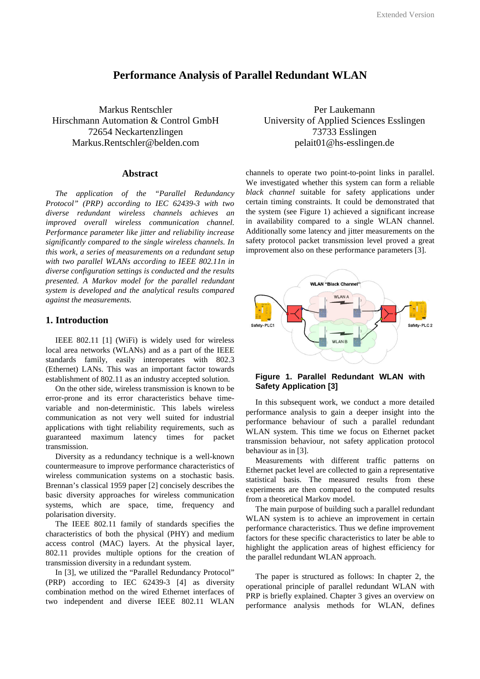# **Performance Analysis of Parallel Redundant WLAN**

Markus Rentschler Hirschmann Automation & Control GmbH 72654 Neckartenzlingen Markus.Rentschler@belden.com

# **Abstract**

*The application of the "Parallel Redundancy Protocol" (PRP) according to IEC 62439-3 with two diverse redundant wireless channels achieves an improved overall wireless communication channel. Performance parameter like jitter and reliability increase significantly compared to the single wireless channels. In this work, a series of measurements on a redundant setup with two parallel WLANs according to IEEE 802.11n in diverse configuration settings is conducted and the results presented. A Markov model for the parallel redundant system is developed and the analytical results compared against the measurements.* 

# **1. Introduction**

IEEE 802.11 [1] (WiFi) is widely used for wireless local area networks (WLANs) and as a part of the IEEE standards family, easily interoperates with 802.3 (Ethernet) LANs. This was an important factor towards establishment of 802.11 as an industry accepted solution.

On the other side, wireless transmission is known to be error-prone and its error characteristics behave timevariable and non-deterministic. This labels wireless communication as not very well suited for industrial applications with tight reliability requirements, such as guaranteed maximum latency times for packet transmission.

Diversity as a redundancy technique is a well-known countermeasure to improve performance characteristics of wireless communication systems on a stochastic basis. Brennan's classical 1959 paper [2] concisely describes the basic diversity approaches for wireless communication systems, which are space, time, frequency and polarisation diversity.

The IEEE 802.11 family of standards specifies the characteristics of both the physical (PHY) and medium access control (MAC) layers. At the physical layer, 802.11 provides multiple options for the creation of transmission diversity in a redundant system.

In [3], we utilized the "Parallel Redundancy Protocol" (PRP) according to IEC 62439-3 [4] as diversity combination method on the wired Ethernet interfaces of two independent and diverse IEEE 802.11 WLAN

Per Laukemann University of Applied Sciences Esslingen 73733 Esslingen pelait01@hs-esslingen.de

channels to operate two point-to-point links in parallel. We investigated whether this system can form a reliable *black channel* suitable for safety applications under certain timing constraints. It could be demonstrated that the system (see Figure 1) achieved a significant increase in availability compared to a single WLAN channel. Additionally some latency and jitter measurements on the safety protocol packet transmission level proved a great improvement also on these performance parameters [3].



# **Figure 1. Parallel Redundant WLAN with Safety Application [3]**

In this subsequent work, we conduct a more detailed performance analysis to gain a deeper insight into the performance behaviour of such a parallel redundant WLAN system. This time we focus on Ethernet packet transmission behaviour, not safety application protocol behaviour as in [3].

Measurements with different traffic patterns on Ethernet packet level are collected to gain a representative statistical basis. The measured results from these experiments are then compared to the computed results from a theoretical Markov model.

The main purpose of building such a parallel redundant WLAN system is to achieve an improvement in certain performance characteristics. Thus we define improvement factors for these specific characteristics to later be able to highlight the application areas of highest efficiency for the parallel redundant WLAN approach.

The paper is structured as follows: In chapter 2, the operational principle of parallel redundant WLAN with PRP is briefly explained. Chapter 3 gives an overview on performance analysis methods for WLAN, defines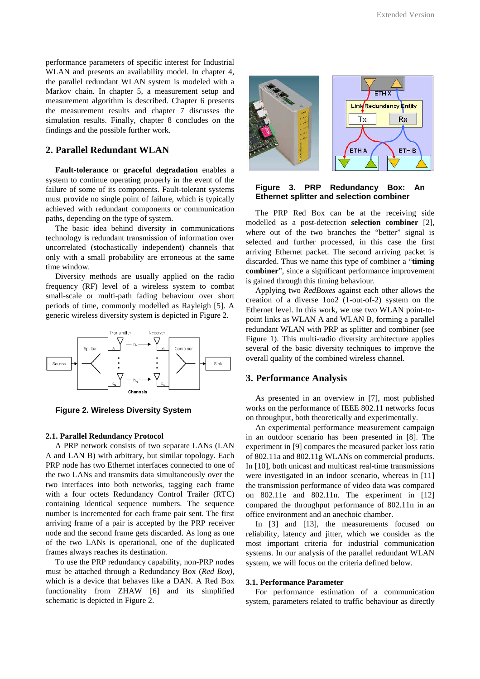performance parameters of specific interest for Industrial WLAN and presents an availability model. In chapter 4, the parallel redundant WLAN system is modeled with a Markov chain. In chapter 5, a measurement setup and measurement algorithm is described. Chapter 6 presents the measurement results and chapter 7 discusses the simulation results. Finally, chapter 8 concludes on the findings and the possible further work.

# **2. Parallel Redundant WLAN**

**Fault-tolerance** or **graceful degradation** enables a system to continue operating properly in the event of the failure of some of its components. Fault-tolerant systems must provide no single point of failure, which is typically achieved with redundant components or communication paths, depending on the type of system.

The basic idea behind diversity in communications technology is redundant transmission of information over uncorrelated (stochastically independent) channels that only with a small probability are erroneous at the same time window.

Diversity methods are usually applied on the radio frequency (RF) level of a wireless system to combat small-scale or multi-path fading behaviour over short periods of time, commonly modelled as Rayleigh [5]. A generic wireless diversity system is depicted in Figure 2.



**Figure 2. Wireless Diversity System** 

#### **2.1. Parallel Redundancy Protocol**

A PRP network consists of two separate LANs (LAN A and LAN B) with arbitrary, but similar topology. Each PRP node has two Ethernet interfaces connected to one of the two LANs and transmits data simultaneously over the two interfaces into both networks, tagging each frame with a four octets Redundancy Control Trailer (RTC) containing identical sequence numbers. The sequence number is incremented for each frame pair sent. The first arriving frame of a pair is accepted by the PRP receiver node and the second frame gets discarded. As long as one of the two LANs is operational, one of the duplicated frames always reaches its destination.

To use the PRP redundancy capability, non-PRP nodes must be attached through a Redundancy Box (*Red Box)*, which is a device that behaves like a DAN. A Red Box functionality from ZHAW [6] and its simplified schematic is depicted in Figure 2.



### **Figure 3. PRP Redundancy Box: An Ethernet splitter and selection combiner**

The PRP Red Box can be at the receiving side modelled as a post-detection **selection combiner** [2], where out of the two branches the "better" signal is selected and further processed, in this case the first arriving Ethernet packet. The second arriving packet is discarded. Thus we name this type of combiner a "**timing combiner**", since a significant performance improvement is gained through this timing behaviour.

Applying two *RedBoxes* against each other allows the creation of a diverse 1oo2 (1-out-of-2) system on the Ethernet level. In this work, we use two WLAN point-topoint links as WLAN A and WLAN B, forming a parallel redundant WLAN with PRP as splitter and combiner (see Figure 1). This multi-radio diversity architecture applies several of the basic diversity techniques to improve the overall quality of the combined wireless channel.

### **3. Performance Analysis**

As presented in an overview in [7], most published works on the performance of IEEE 802.11 networks focus on throughput, both theoretically and experimentally.

An experimental performance measurement campaign in an outdoor scenario has been presented in [8]. The experiment in [9] compares the measured packet loss ratio of 802.11a and 802.11g WLANs on commercial products. In [10], both unicast and multicast real-time transmissions were investigated in an indoor scenario, whereas in [11] the transmission performance of video data was compared on 802.11e and 802.11n. The experiment in [12] compared the throughput performance of 802.11n in an office environment and an anechoic chamber.

In [3] and [13], the measurements focused on reliability, latency and jitter, which we consider as the most important criteria for industrial communication systems. In our analysis of the parallel redundant WLAN system, we will focus on the criteria defined below.

#### **3.1. Performance Parameter**

For performance estimation of a communication system, parameters related to traffic behaviour as directly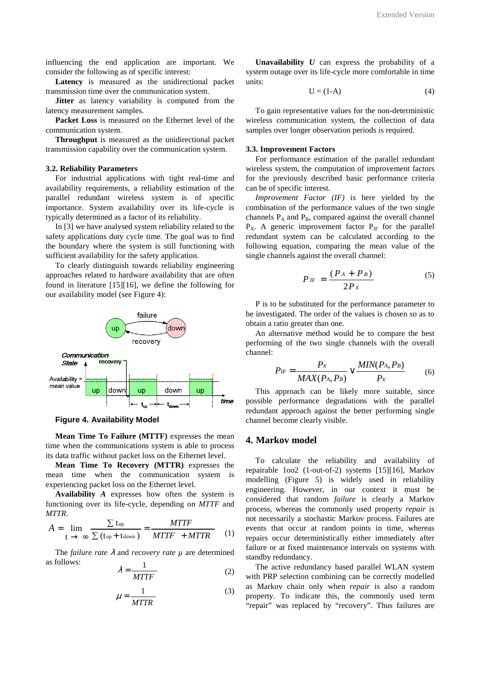influencing the end application are important. We consider the following as of specific interest:

**Latency** is measured as the unidirectional packet transmission time over the communication system.

**Jitter** as latency variability is computed from the latency measurement samples.

**Packet Loss** is measured on the Ethernet level of the communication system.

**Throughput** is measured as the unidirectional packet transmission capability over the communication system.

#### **3.2. Reliability Parameters**

For industrial applications with tight real-time and availability requirements, a reliability estimation of the parallel redundant wireless system is of specific importance. System availability over its life-cycle is typically determined as a factor of its reliability.

In [3] we have analysed system reliability related to the safety applications duty cycle time. The goal was to find the boundary where the system is still functioning with sufficient availability for the safety application.

To clearly distinguish towards reliability engineering approaches related to hardware availability that are often found in literature [15][16], we define the following for our availability model (see Figure 4):



#### **Figure 4. Availability Model**

**Mean Time To Failure (MTTF)** expresses the mean time when the communications system is able to process its data traffic without packet loss on the Ethernet level.

**Mean Time To Recovery (MTTR)** expresses the mean time when the communication system is experiencing packet loss on the Ethernet level.

**Availability** *A* expresses how often the system is functioning over its life-cycle, depending on *MTTF* and *MTTR*.

$$
A = \lim_{t \to \infty} \frac{\sum \text{t}_{\text{up}}}{\sum (\text{t}_{\text{up}} + \text{t}_{\text{down}})} = \frac{MTTF}{MTTF + MTTR}
$$
 (1)

The *failure rate* λ and *recovery rate µ* are determined as follows: 1

$$
\lambda = \frac{1}{MTTF} \tag{2}
$$

$$
\mu = \frac{1}{MTTR} \tag{3}
$$

**Unavailability**  $U$  can express the probability of a system outage over its life-cycle more comfortable in time units:

$$
U = (1-A) \tag{4}
$$

To gain representative values for the non-deterministic wireless communication system, the collection of data samples over longer observation periods is required.

#### **3.3. Improvement Factors**

For performance estimation of the parallel redundant wireless system, the computation of improvement factors for the previously described basic performance criteria can be of specific interest.

*Improvement Factor (IF)* is here yielded by the combination of the performance values of the two single channels  $P_A$  and  $P_B$ , compared against the overall channel  $P_X$ . A generic improvement factor  $P_{IF}$  for the parallel redundant system can be calculated according to the following equation, comparing the mean value of the single channels against the overall channel:

$$
P_{IF} = \frac{(P_A + P_B)}{2P_x} \tag{5}
$$

P is to be substituted for the performance parameter to be investigated. The order of the values is chosen so as to obtain a ratio greater than one.

An alternative method would be to compare the best performing of the two single channels with the overall channel:

$$
P_{IF} = \frac{P_x}{MAX(P_A, P_B)} \vee \frac{MIN(P_A, P_B)}{P_x}
$$
 (6)

This approach can be likely more suitable, since possible performance degradations with the parallel redundant approach against the better performing single channel become clearly visible.

# **4. Markov model**

To calculate the reliability and availability of repairable 1oo2 (1-out-of-2) systems [15][16], Markov modelling (Figure 5) is widely used in reliability engineering. However, in our context it must be considered that random *failure* is clearly a Markov process, whereas the commonly used property *repair* is not necessarily a stochastic Markov process. Failures are events that occur at random points in time, whereas repairs occur deterministically either immediately after failure or at fixed maintenance intervals on systems with standby redundancy.

The active redundancy based parallel WLAN system with PRP selection combining can be correctly modelled as Markov chain only when *repair* is also a random property. To indicate this, the commonly used term "repair" was replaced by "recovery". Thus failures are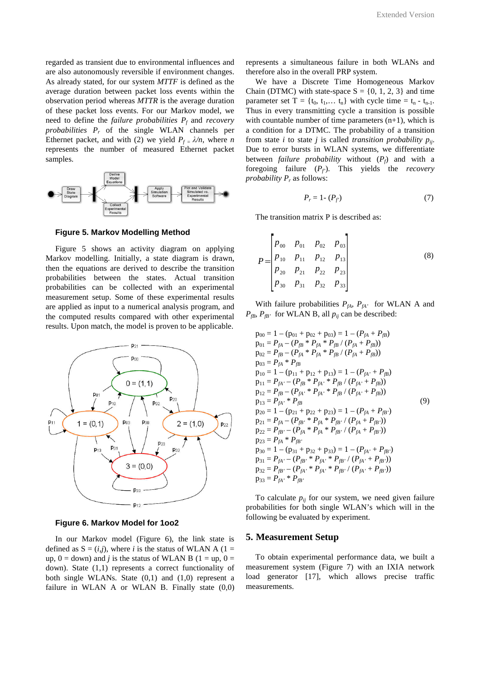regarded as transient due to environmental influences and are also autonomously reversible if environment changes. As already stated, for our system *MTTF* is defined as the average duration between packet loss events within the observation period whereas *MTTR* is the average duration of these packet loss events. For our Markov model, we need to define the *failure probabilities P<sup>f</sup>* and *recovery probabilities P<sup>r</sup>* of the single WLAN channels per Ethernet packet, and with (2) we yield  $P_f = \lambda/n$ , where *n* represents the number of measured Ethernet packet samples.



**Figure 5. Markov Modelling Method** 

Figure 5 shows an activity diagram on applying Markov modelling. Initially, a state diagram is drawn, then the equations are derived to describe the transition probabilities between the states. Actual transition probabilities can be collected with an experimental measurement setup. Some of these experimental results are applied as input to a numerical analysis program, and the computed results compared with other experimental results. Upon match, the model is proven to be applicable.



**Figure 6. Markov Model for 1oo2** 

In our Markov model (Figure 6), the link state is defined as  $S = (i, j)$ , where *i* is the status of WLAN A (1 = up,  $0 =$  down) and *j* is the status of WLAN B ( $1 =$  up,  $0 =$ down). State (1,1) represents a correct functionality of both single WLANs. State (0,1) and (1,0) represent a failure in WLAN A or WLAN B. Finally state  $(0,0)$ 

represents a simultaneous failure in both WLANs and therefore also in the overall PRP system.

We have a Discrete Time Homogeneous Markov Chain (DTMC) with state-space  $S = \{0, 1, 2, 3\}$  and time parameter set  $T = \{t_0, t_1, \ldots, t_n\}$  with cycle time =  $t_n - t_{n-1}$ . Thus in every transmitting cycle a transition is possible with countable number of time parameters  $(n+1)$ , which is a condition for a DTMC. The probability of a transition from state *i* to state *j* is called *transition probability pij*. Due to error bursts in WLAN systems, we differentiate between *failure probability* without  $(P_f)$  and with a foregoing failure  $(P_f)$ . This yields the *recovery probability P<sup>r</sup>* as follows:

$$
P_r = 1 - (P_f) \tag{7}
$$

The transition matrix P is described as:

$$
P = \begin{bmatrix} P_{00} & P_{01} & P_{02} & P_{03} \\ P_{10} & P_{11} & P_{12} & P_{13} \\ P_{20} & P_{21} & P_{22} & P_{23} \\ P_{30} & P_{31} & P_{32} & P_{33} \end{bmatrix} \tag{8}
$$

With failure probabilities  $P_{fA}$ ,  $P_{fA}$  for WLAN A and  $P_{fB}$ ,  $P_{fB}$ <sup>*fB'*</sup> for WLAN B, all  $p_{ij}$  can be described:

$$
p_{00} = 1 - (p_{01} + p_{02} + p_{03}) = 1 - (P_{fA} + P_{fB})
$$
  
\n
$$
p_{01} = P_{fA} - (P_{fB} * P_{fA} * P_{fB} / (P_{fA} + P_{fB}))
$$
  
\n
$$
p_{02} = P_{fB} - (P_{fA} * P_{fA} * P_{fB} / (P_{fA} + P_{fB}))
$$
  
\n
$$
p_{03} = P_{fA} * P_{fB}
$$
  
\n
$$
p_{10} = 1 - (p_{11} + p_{12} + p_{13}) = 1 - (P_{fA'} + P_{fB})
$$
  
\n
$$
p_{11} = P_{fA'} - (P_{fB} * P_{fA} * P_{fB} / (P_{fA'} + P_{fB}))
$$
  
\n
$$
p_{12} = P_{fB} - (P_{fA} * P_{fA} * P_{fB} / (P_{fA'} + P_{fB}))
$$
  
\n
$$
p_{13} = P_{fA} * P_{fB}
$$
  
\n
$$
p_{20} = 1 - (p_{21} + p_{22} + p_{23}) = 1 - (P_{fA} + P_{fB'})
$$
  
\n
$$
p_{21} = P_{fA} - (P_{fB} * P_{fA} * P_{fB} / (P_{fA} + P_{fB'}))
$$
  
\n
$$
p_{22} = P_{fB} - (P_{fA} * P_{fA} * P_{fB} / (P_{fA} + P_{fB'}))
$$
  
\n
$$
p_{23} = P_{fA} * P_{fB'}
$$
  
\n
$$
p_{30} = 1 - (p_{31} + p_{32} + p_{33}) = 1 - (P_{fA'} + P_{fB'})
$$
  
\n
$$
p_{31} = P_{fA'} - (P_{fB'} * P_{fA} * P_{fB'} / (P_{fA'} + P_{fB'}))
$$
  
\n
$$
p_{32} = P_{fB'} - (P_{fA'} * P_{fA} * P_{fB'} / (P_{fA'} + P_{fB'}))
$$
  
\n
$$
p_{33} = P_{fA
$$

To calculate  $p_{ij}$  for our system, we need given failure probabilities for both single WLAN's which will in the following be evaluated by experiment.

#### **5. Measurement Setup**

To obtain experimental performance data, we built a measurement system (Figure 7) with an IXIA network load generator [17], which allows precise traffic measurements.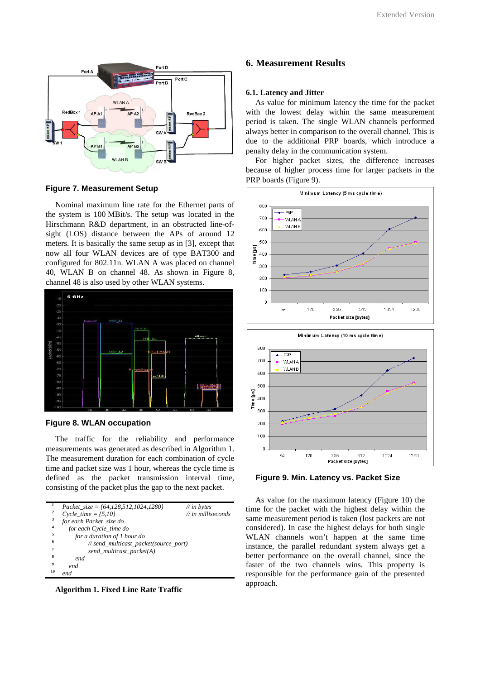

# **Figure 7. Measurement Setup**

Nominal maximum line rate for the Ethernet parts of the system is 100 MBit/s. The setup was located in the Hirschmann R&D department, in an obstructed line-ofsight (LOS) distance between the APs of around 12 meters. It is basically the same setup as in [3], except that now all four WLAN devices are of type BAT300 and configured for 802.11n. WLAN A was placed on channel 40, WLAN B on channel 48. As shown in Figure 8, channel 48 is also used by other WLAN systems.



### **Figure 8. WLAN occupation**

The traffic for the reliability and performance measurements was generated as described in Algorithm 1. The measurement duration for each combination of cycle time and packet size was 1 hour, whereas the cycle time is defined as the packet transmission interval time, consisting of the packet plus the gap to the next packet.

|                | Packet_size = $\{64, 128, 512, 1024, 1280\}$ | $\#$ in bytes                 |
|----------------|----------------------------------------------|-------------------------------|
| 2              | $Cycle_time = {5,10}$                        | $\mathcal{U}$ in milliseconds |
| 3              | for each Packet_size do                      |                               |
| $\overline{4}$ | for each Cycle_time do                       |                               |
| 5              | for a duration of 1 hour do                  |                               |
| 6              | // send_multicast_packet(source_port)        |                               |
| 7              | send_multicast_packet(A)                     |                               |
| 8              | end                                          |                               |
| 9              | end                                          |                               |
| 10             | end                                          |                               |

**Algorithm 1. Fixed Line Rate Traffic** 

### **6. Measurement Results**

### **6.1. Latency and Jitter**

As value for minimum latency the time for the packet with the lowest delay within the same measurement period is taken. The single WLAN channels performed always better in comparison to the overall channel. This is due to the additional PRP boards, which introduce a penalty delay in the communication system.

For higher packet sizes, the difference increases because of higher process time for larger packets in the PRP boards (Figure 9).



**Figure 9. Min. Latency vs. Packet Size** 

As value for the maximum latency (Figure 10) the time for the packet with the highest delay within the same measurement period is taken (lost packets are not considered). In case the highest delays for both single WLAN channels won't happen at the same time instance, the parallel redundant system always get a better performance on the overall channel, since the faster of the two channels wins. This property is responsible for the performance gain of the presented approach.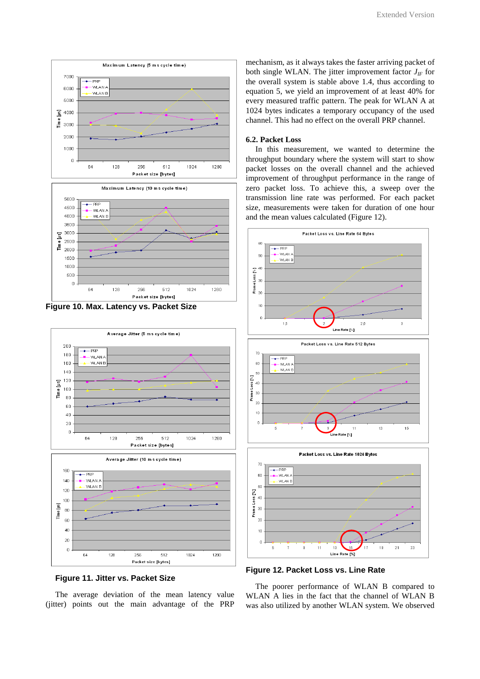





**Figure 11. Jitter vs. Packet Size** 

The average deviation of the mean latency value (jitter) points out the main advantage of the PRP

mechanism, as it always takes the faster arriving packet of both single WLAN. The jitter improvement factor  $J_F$  for the overall system is stable above 1.4, thus according to equation 5, we yield an improvement of at least 40% for every measured traffic pattern. The peak for WLAN A at 1024 bytes indicates a temporary occupancy of the used channel. This had no effect on the overall PRP channel.

### **6.2. Packet Loss**

In this measurement, we wanted to determine the throughput boundary where the system will start to show packet losses on the overall channel and the achieved improvement of throughput performance in the range of zero packet loss. To achieve this, a sweep over the transmission line rate was performed. For each packet size, measurements were taken for duration of one hour and the mean values calculated (Figure 12).



**Figure 12. Packet Loss vs. Line Rate** 

The poorer performance of WLAN B compared to WLAN A lies in the fact that the channel of WLAN B was also utilized by another WLAN system. We observed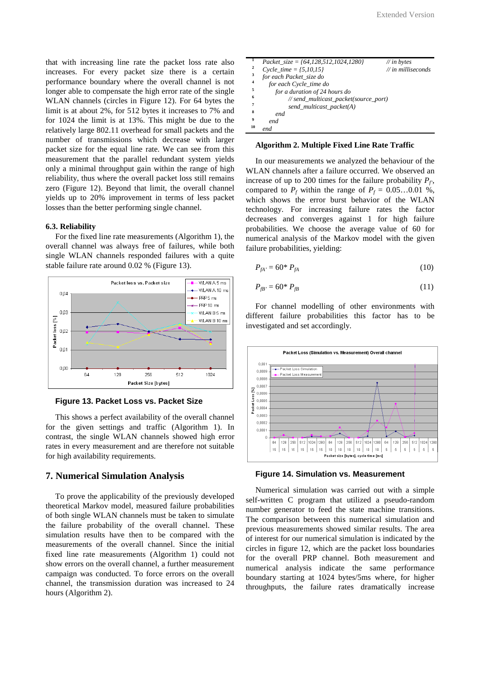that with increasing line rate the packet loss rate also increases. For every packet size there is a certain performance boundary where the overall channel is not longer able to compensate the high error rate of the single WLAN channels (circles in Figure 12). For 64 bytes the limit is at about 2%, for 512 bytes it increases to 7% and for 1024 the limit is at 13%. This might be due to the relatively large 802.11 overhead for small packets and the number of transmissions which decrease with larger packet size for the equal line rate. We can see from this measurement that the parallel redundant system yields only a minimal throughput gain within the range of high reliability, thus where the overall packet loss still remains zero (Figure 12). Beyond that limit, the overall channel yields up to 20% improvement in terms of less packet losses than the better performing single channel.

# **6.3. Reliability**

For the fixed line rate measurements (Algorithm 1), the overall channel was always free of failures, while both single WLAN channels responded failures with a quite stable failure rate around 0.02 % (Figure 13).



**Figure 13. Packet Loss vs. Packet Size** 

This shows a perfect availability of the overall channel for the given settings and traffic (Algorithm 1). In contrast, the single WLAN channels showed high error rates in every measurement and are therefore not suitable for high availability requirements.

# **7. Numerical Simulation Analysis**

To prove the applicability of the previously developed theoretical Markov model, measured failure probabilities of both single WLAN channels must be taken to simulate the failure probability of the overall channel. These simulation results have then to be compared with the measurements of the overall channel. Since the initial fixed line rate measurements (Algorithm 1) could not show errors on the overall channel, a further measurement campaign was conducted. To force errors on the overall channel, the transmission duration was increased to 24 hours (Algorithm 2).

| $\mathbf{1}$            | Packet $size = \{64, 128, 512, 1024, 1280\}$ | $\#$ in bytes                 |
|-------------------------|----------------------------------------------|-------------------------------|
| $\overline{\mathbf{c}}$ | $Cycle_time = {5,10,15}$                     | $\mathcal{N}$ in milliseconds |
| 3                       | for each Packet_size do                      |                               |
| $\overline{4}$          | for each Cycle_time do                       |                               |
| 5                       | for a duration of 24 hours do                |                               |
| 6                       | // send_multicast_packet(source_port)        |                               |
| 7                       | send_multicast_packet(A)                     |                               |
| 8                       | end                                          |                               |
| 9                       | end                                          |                               |
| 10                      | end                                          |                               |

### **Algorithm 2. Multiple Fixed Line Rate Traffic**

In our measurements we analyzed the behaviour of the WLAN channels after a failure occurred. We observed an increase of up to 200 times for the failure probability  $P_f$ , compared to  $P_f$  within the range of  $P_f = 0.05...0.01$  %, which shows the error burst behavior of the WLAN technology. For increasing failure rates the factor decreases and converges against 1 for high failure probabilities. We choose the average value of 60 for numerical analysis of the Markov model with the given failure probabilities, yielding:

$$
P_{fA'} = 60^* P_{fA} \tag{10}
$$

$$
P_{f\!B'} = 60^* P_{f\!B} \tag{11}
$$

For channel modelling of other environments with different failure probabilities this factor has to be investigated and set accordingly.



**Figure 14. Simulation vs. Measurement** 

Numerical simulation was carried out with a simple self-written C program that utilized a pseudo-random number generator to feed the state machine transitions. The comparison between this numerical simulation and previous measurements showed similar results. The area of interest for our numerical simulation is indicated by the circles in figure 12, which are the packet loss boundaries for the overall PRP channel. Both measurement and numerical analysis indicate the same performance boundary starting at 1024 bytes/5ms where, for higher throughputs, the failure rates dramatically increase